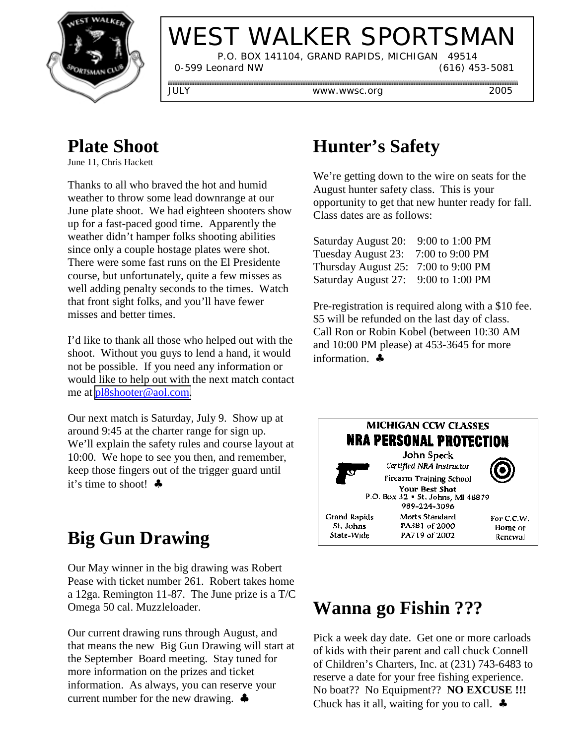

# WEST WALKER SPORTSMAN

 P.O. BOX 141104, GRAND RAPIDS, MICHIGAN 49514 0-599 Leonard NW (616) 453-5081

JULY www.wwsc.org 2005

#### **Plate Shoot**

June 11, Chris Hackett

Thanks to all who braved the hot and humid weather to throw some lead downrange at our June plate shoot. We had eighteen shooters show up for a fast-paced good time. Apparently the weather didn't hamper folks shooting abilities since only a couple hostage plates were shot. There were some fast runs on the El Presidente course, but unfortunately, quite a few misses as well adding penalty seconds to the times. Watch that front sight folks, and you'll have fewer misses and better times.

I'd like to thank all those who helped out with the shoot. Without you guys to lend a hand, it would not be possible. If you need any information or would like to help out with the next match contact me at [pl8shooter@aol.com.](mailto:pl8shooter@aol.com)

Our next match is Saturday, July 9. Show up at around 9:45 at the charter range for sign up. We'll explain the safety rules and course layout at 10:00. We hope to see you then, and remember, keep those fingers out of the trigger guard until it's time to shoot! ♣

# **Big Gun Drawing**

Our May winner in the big drawing was Robert Pease with ticket number 261. Robert takes home a 12ga. Remington 11-87. The June prize is a T/C Omega 50 cal. Muzzleloader.

Our current drawing runs through August, and that means the new Big Gun Drawing will start at the September Board meeting. Stay tuned for more information on the prizes and ticket information. As always, you can reserve your current number for the new drawing. ♣

#### **Hunter's Safety**

We're getting down to the wire on seats for the August hunter safety class. This is your opportunity to get that new hunter ready for fall. Class dates are as follows:

| Saturday August 20: | 9:00 to 1:00 PM |
|---------------------|-----------------|
| Tuesday August 23:  | 7:00 to 9:00 PM |
| Thursday August 25: | 7:00 to 9:00 PM |
| Saturday August 27: | 9:00 to 1:00 PM |

Pre-registration is required along with a \$10 fee. \$5 will be refunded on the last day of class. Call Ron or Robin Kobel (between 10:30 AM and 10:00 PM please) at 453-3645 for more information. ♣



## **Wanna go Fishin ???**

Pick a week day date. Get one or more carloads of kids with their parent and call chuck Connell of Children's Charters, Inc. at (231) 743-6483 to reserve a date for your free fishing experience. No boat?? No Equipment?? **NO EXCUSE !!!** Chuck has it all, waiting for you to call. ♣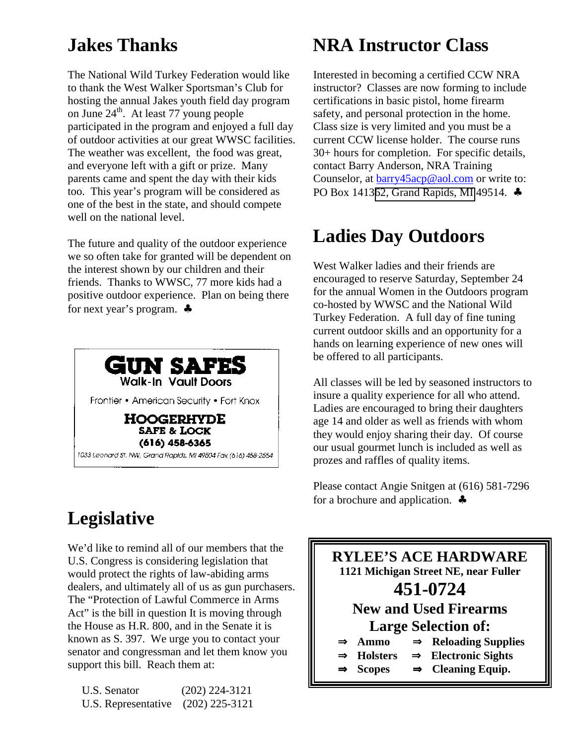#### **Jakes Thanks**

The National Wild Turkey Federation would like to thank the West Walker Sportsman's Club for hosting the annual Jakes youth field day program on June 24<sup>th</sup>. At least 77 young people participated in the program and enjoyed a full day of outdoor activities at our great WWSC facilities. The weather was excellent, the food was great, and everyone left with a gift or prize. Many parents came and spent the day with their kids too. This year's program will be considered as one of the best in the state, and should compete well on the national level.

The future and quality of the outdoor experience we so often take for granted will be dependent on the interest shown by our children and their friends. Thanks to WWSC, 77 more kids had a positive outdoor experience. Plan on being there for next year's program. ♣



# **Legislative**

We'd like to remind all of our members that the U.S. Congress is considering legislation that would protect the rights of law-abiding arms dealers, and ultimately all of us as gun purchasers. The "Protection of Lawful Commerce in Arms Act" is the bill in question It is moving through the House as H.R. 800, and in the Senate it is known as S. 397. We urge you to contact your senator and congressman and let them know you support this bill. Reach them at:

 U.S. Senator (202) 224-3121 U.S. Representative (202) 225-3121

## **NRA Instructor Class**

Interested in becoming a certified CCW NRA instructor? Classes are now forming to include certifications in basic pistol, home firearm safety, and personal protection in the home. Class size is very limited and you must be a current CCW license holder. The course runs 30+ hours for completion. For specific details, contact Barry Anderson, NRA Training Counselor, at barry45acp@aol.com or write to: PO Box 1413[62, Grand Rapids, MI](mailto:barry45acp@aol.com) 49514. ♣

## **Ladies Day Outdoors**

West Walker ladies and their friends are encouraged to reserve Saturday, September 24 for the annual Women in the Outdoors program co-hosted by WWSC and the National Wild Turkey Federation. A full day of fine tuning current outdoor skills and an opportunity for a hands on learning experience of new ones will be offered to all participants.

All classes will be led by seasoned instructors to insure a quality experience for all who attend. Ladies are encouraged to bring their daughters age 14 and older as well as friends with whom they would enjoy sharing their day. Of course our usual gourmet lunch is included as well as prozes and raffles of quality items.

Please contact Angie Snitgen at (616) 581-7296 for a brochure and application. ♣

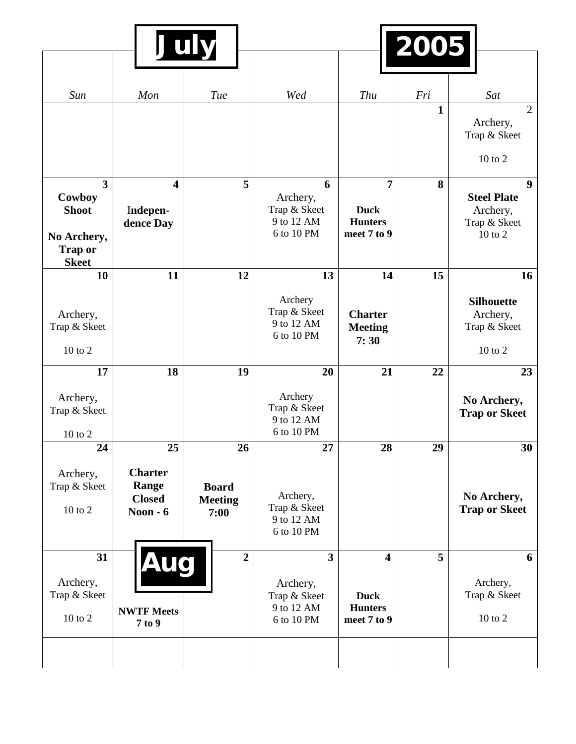|                                                                                                    |                                                             | July                                   |                                                                                 |                                                                         | 2005         |                                                                    |
|----------------------------------------------------------------------------------------------------|-------------------------------------------------------------|----------------------------------------|---------------------------------------------------------------------------------|-------------------------------------------------------------------------|--------------|--------------------------------------------------------------------|
|                                                                                                    |                                                             |                                        |                                                                                 |                                                                         |              |                                                                    |
| Sun                                                                                                | Mon                                                         | Tue                                    | Wed                                                                             | <b>Thu</b>                                                              | Fri          | Sat                                                                |
|                                                                                                    |                                                             |                                        |                                                                                 |                                                                         | $\mathbf{1}$ | $\overline{2}$<br>Archery,<br>Trap & Skeet<br>10 to 2              |
| $\overline{\mathbf{3}}$<br>Cowboy<br><b>Shoot</b><br>No Archery,<br><b>Trap or</b><br><b>Skeet</b> | $\overline{\mathbf{4}}$<br>Indepen-<br>dence Day            | 5                                      | 6<br>Archery,<br>Trap & Skeet<br>9 to 12 AM<br>6 to 10 PM                       | $\overline{7}$<br><b>Duck</b><br><b>Hunters</b><br>meet 7 to 9          | 8            | 9<br><b>Steel Plate</b><br>Archery,<br>Trap & Skeet<br>$10$ to $2$ |
| 10<br>Archery,<br>Trap & Skeet<br>10 to 2                                                          | 11                                                          | 12                                     | 13<br>Archery<br>Trap & Skeet<br>9 to 12 AM<br>6 to 10 PM                       | 14<br><b>Charter</b><br><b>Meeting</b><br>7:30                          | 15           | 16<br><b>Silhouette</b><br>Archery,<br>Trap & Skeet<br>10 to 2     |
| 17<br>Archery,<br>Trap & Skeet                                                                     | 18                                                          | 19                                     | 20<br>Archery<br>Trap & Skeet<br>9 to 12 AM                                     | 21                                                                      | 22           | 23<br>No Archery,<br><b>Trap or Skeet</b>                          |
| 10 to 2<br>24                                                                                      | 25                                                          | 26                                     | 6 to 10 PM<br>27                                                                | 28                                                                      | 29           | 30                                                                 |
| Archery,<br>Trap & Skeet<br>10 to 2                                                                | <b>Charter</b><br>Range<br><b>Closed</b><br><b>Noon - 6</b> | <b>Board</b><br><b>Meeting</b><br>7:00 | Archery,<br>Trap & Skeet<br>9 to 12 AM<br>6 to 10 PM                            |                                                                         |              | No Archery,<br><b>Trap or Skeet</b>                                |
| 31<br>Archery,<br>Trap & Skeet<br>10 to 2                                                          | Aug<br><b>NWTF Meets</b><br>7 to 9                          | $\overline{2}$                         | $\overline{\mathbf{3}}$<br>Archery,<br>Trap & Skeet<br>9 to 12 AM<br>6 to 10 PM | $\overline{\mathbf{4}}$<br><b>Duck</b><br><b>Hunters</b><br>meet 7 to 9 | 5            | 6<br>Archery,<br>Trap & Skeet<br>10 to 2                           |